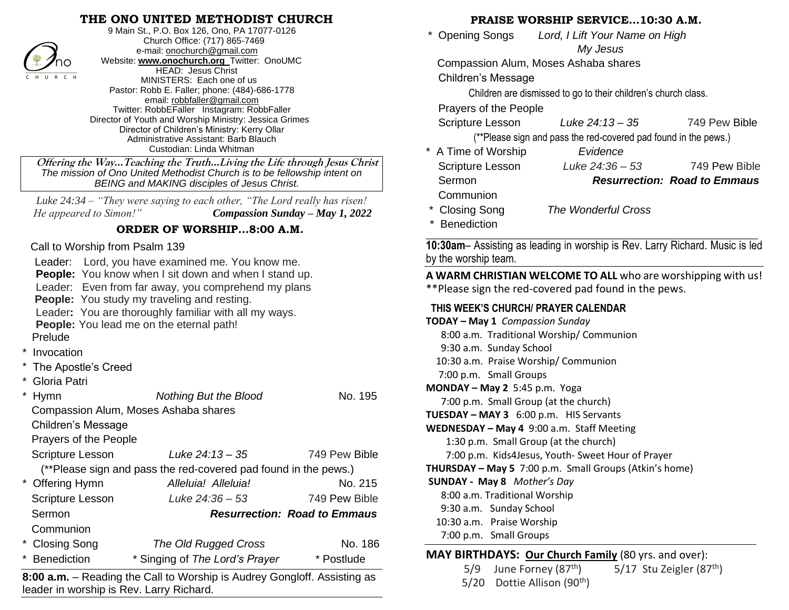### **THE ONO UNITED METHODIST CHURCH**



9 Main St., P.O. Box 126, Ono, PA 17077-0126 Church Office: (717) 865-7469 e-mail[: onochurch@gmail.com](mailto:onochurch@gmail.com) Website: **[www.onochurch.org](http://www.onochurch.org/)** Twitter: OnoUMC HEAD: Jesus Christ MINISTERS: Each one of us Pastor: Robb E. Faller; phone: (484)-686-1778 email: [robbfaller@gmail.com](mailto:robbfaller@gmail.com) Twitter: RobbEFaller Instagram: RobbFaller Director of Youth and Worship Ministry: Jessica Grimes Director of Children's Ministry: Kerry Ollar Administrative Assistant: Barb Blauch Custodian: Linda Whitman

#### **ORDER OF WORSHIP…8:00 A.M.**

#### Call to Worship from Psalm 139

- **Invocation**
- The Apostle's Creed
- \* Gloria Patri

| $\mathcal{I}$ /no                                                                                 | <b>WEDSITE:</b> WWW.Onochurch.org I WITTER: UNOUIVIU<br>HEAD: Jesus Christ |               | Compassion Alum, Moses Asha                |                   |
|---------------------------------------------------------------------------------------------------|----------------------------------------------------------------------------|---------------|--------------------------------------------|-------------------|
| CHU R C H                                                                                         | MINISTERS: Each one of us                                                  |               | <b>Children's Message</b>                  |                   |
| Pastor: Robb E. Faller; phone: (484)-686-1778                                                     |                                                                            |               | Children are dismissed to go to            |                   |
| email: robbfaller@gmail.com<br>Twitter: RobbEFaller Instagram: RobbFaller                         |                                                                            |               | Prayers of the People                      |                   |
| Director of Youth and Worship Ministry: Jessica Grimes                                            |                                                                            |               | Scripture Lesson                           | Luke <sub>2</sub> |
| Director of Children's Ministry: Kerry Ollar                                                      |                                                                            |               | (**Please sign and pass the re             |                   |
|                                                                                                   | Administrative Assistant: Barb Blauch<br>Custodian: Linda Whitman          |               | * A Time of Worship                        | Ev                |
| Offering the WayTeaching the TruthLiving the Life through Jesus Christ                            |                                                                            |               | Scripture Lesson                           | Luke:             |
| The mission of Ono United Methodist Church is to be fellowship intent on                          |                                                                            |               | Sermon                                     |                   |
|                                                                                                   | <b>BEING and MAKING disciples of Jesus Christ.</b>                         |               |                                            |                   |
| Luke $24:34$ – "They were saying to each other, "The Lord really has risen!                       |                                                                            |               | Communion                                  |                   |
| Compassion Sunday - May 1, 2022<br>He appeared to Simon!"                                         |                                                                            |               | * Closing Song                             | The Won           |
|                                                                                                   | ORDER OF WORSHIP8:00 A.M.                                                  |               | <b>Benediction</b>                         |                   |
| Call to Worship from Psalm 139                                                                    |                                                                            |               | 10:30am- Assisting as leading in wor       |                   |
| Leader: Lord, you have examined me. You know me.                                                  |                                                                            |               | by the worship team.                       |                   |
| People: You know when I sit down and when I stand up.                                             |                                                                            |               | A WARM CHRISTIAN WELCOME TO                |                   |
| Leader: Even from far away, you comprehend my plans                                               |                                                                            |               | **Please sign the red-covered pad          |                   |
|                                                                                                   | People: You study my traveling and resting.                                |               | THIS WEEK'S CHURCH/ PRAYER CAL             |                   |
| Leader: You are thoroughly familiar with all my ways.<br>People: You lead me on the eternal path! |                                                                            |               | TODAY - May 1 Compassion Sunday            |                   |
| Prelude                                                                                           |                                                                            |               | 8:00 a.m. Traditional Worship/Co           |                   |
|                                                                                                   |                                                                            |               | 9:30 a.m. Sunday School                    |                   |
| * Invocation                                                                                      |                                                                            |               | 10:30 a.m. Praise Worship/ Comm            |                   |
| * The Apostle's Creed                                                                             |                                                                            |               | 7:00 p.m. Small Groups                     |                   |
| * Gloria Patri                                                                                    |                                                                            |               | MONDAY - May 2 5:45 p.m. Yoga              |                   |
| $\star$<br>Hymn<br>No. 195<br><b>Nothing But the Blood</b><br>7:00 p.m. Small Group (at the chu   |                                                                            |               |                                            |                   |
|                                                                                                   | Compassion Alum, Moses Ashaba shares                                       |               | TUESDAY - MAY 3 6:00 p.m. HIS Se           |                   |
| <b>Children's Message</b>                                                                         |                                                                            |               | WEDNESDAY - May 4 9:00 a.m. Staf           |                   |
| Prayers of the People                                                                             |                                                                            |               | 1:30 p.m. Small Group (at the ch           |                   |
| Scripture Lesson                                                                                  | Luke 24:13 - 35                                                            | 749 Pew Bible | 7:00 p.m. Kids4Jesus, Youth- Swe           |                   |
|                                                                                                   | (**Please sign and pass the red-covered pad found in the pews.)            |               | THURSDAY - May 5 7:00 p.m. Small           |                   |
| * Offering Hymn                                                                                   | Alleluia! Alleluia!                                                        | No. 215       | <b>SUNDAY - May 8</b> Mother's Day         |                   |
| Scripture Lesson                                                                                  | Luke $24:36 - 53$                                                          | 749 Pew Bible | 8:00 a.m. Traditional Worship              |                   |
| Sermon<br><b>Resurrection: Road to Emmaus</b>                                                     |                                                                            |               | 9:30 a.m. Sunday School                    |                   |
| Communion                                                                                         |                                                                            |               | 10:30 a.m. Praise Worship                  |                   |
| <b>Closing Song</b><br>$\star$                                                                    | <b>The Old Rugged Cross</b>                                                | No. 186       | 7:00 p.m. Small Groups                     |                   |
| <b>Benediction</b>                                                                                | * Singing of The Lord's Prayer                                             | * Postlude    | <b>MAY BIRTHDAYS: Our Church Fa</b>        |                   |
|                                                                                                   | 8:00 a.m. - Reading the Call to Worship is Audrey Gongloff. Assisting as   |               | June Forney (87 <sup>th</sup> )<br>5/9     |                   |
| loader in werehin is Dev. Larry Diehard                                                           |                                                                            |               | Dottie Allison (90 <sup>th</sup> )<br>5/20 |                   |

**8:00 a.m.** – Reading the Call to Worship is Audrey Gongloff. Assisting as leader in worship is Rev. Larry Richard. 

#### **PRAISE WORSHIP SERVICE…10:30 A.M.**

 \* Opening Songs *Lord, I Lift Your Name on High My Jesus* 

Compassion Alum, Moses Ashaba shares

Children are dismissed to go to their children's church class.

Scripture Lesson *Luke 24:13 – 35* 749 Pew Bible

(\*\*Please sign and pass the red-covered pad found in the pews.)

- \* A Time of Worship *Evidence* Scripture Lesson *Luke 24:36 – 53* 749 Pew Bible Sermon *Resurrection: Road to Emmaus* Communion
- \* Closing Song *The Wonderful Cross*
- **Benediction**

**\_\_\_\_\_\_\_\_\_\_\_\_\_\_\_\_\_\_\_\_\_\_\_\_\_\_\_\_\_\_\_\_\_\_\_\_\_\_\_\_\_\_\_\_\_\_\_\_\_\_\_\_\_\_\_\_\_\_\_\_\_ 10:30am**– Assisting as leading in worship is Rev. Larry Richard. Music is led by the worship team.

**A WARM CHRISTIAN WELCOME TO ALL** who are worshipping with us! \*\*Please sign the red-covered pad found in the pews. 

#### **THIS WEEK'S CHURCH/ PRAYER CALENDAR**

**TODAY – May 1** *Compassion Sunday* 8:00 a.m. Traditional Worship/ Communion 9:30 a.m. Sunday School 10:30 a.m. Praise Worship/ Communion 7:00 p.m. Small Groups **MONDAY – May 2** 5:45 p.m. Yoga 7:00 p.m. Small Group (at the church) **TUESDAY – MAY 3** 6:00 p.m. HIS Servants **WEDNESDAY – May 4** 9:00 a.m. Staff Meeting 1:30 p.m. Small Group (at the church) 7:00 p.m. Kids4Jesus, Youth- Sweet Hour of Prayer **THURSDAY – May 5** 7:00 p.m. Small Groups (Atkin's home) **SUNDAY - May 8** *Mother's Day* 8:00 a.m. Traditional Worship 9:30 a.m. Sunday School 10:30 a.m. Praise Worship 7:00 p.m. Small Groups l

## **MAY BIRTHDAYS: Our Church Family** (80 yrs. and over):

5/9 June Forney  $(87<sup>th</sup>)$  5/17 Stu Zeigler  $(87<sup>th</sup>)$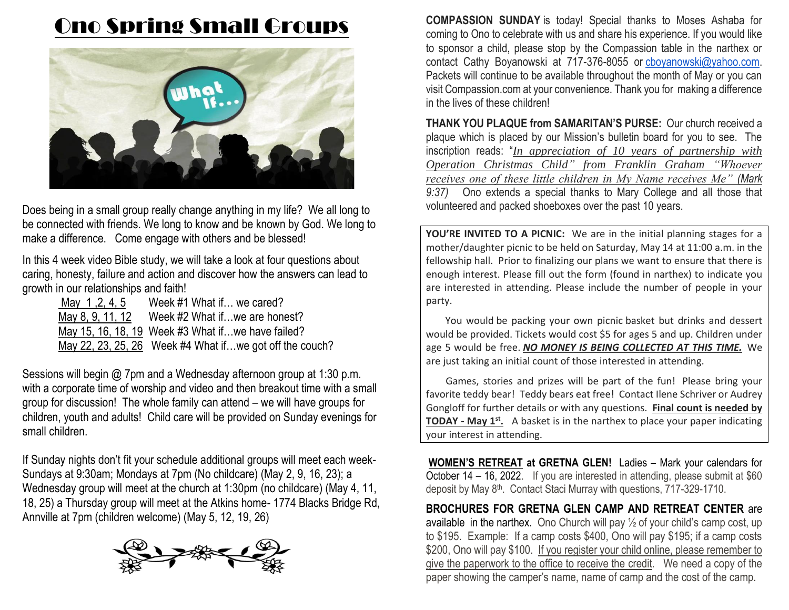# Ono Spring Small Groups



Does being in a small group really change anything in my life? We all long to be connected with friends. We long to know and be known by God. We long to make a difference. Come engage with others and be blessed!

In this 4 week video Bible study, we will take a look at four questions about caring, honesty, failure and action and discover how the answers can lead to growth in our relationships and faith!

| Alay 1, 2, 4, 5 | Week #1 What if we cared?                               |
|-----------------|---------------------------------------------------------|
|                 | May 8, 9, 11, 12 Week $#2$ What if  we are honest?      |
|                 | May 15, 16, 18, 19 Week #3 What if we have failed?      |
|                 | May 22, 23, 25, 26 Week #4 What ifwe got off the couch? |

Sessions will begin @ 7pm and a Wednesday afternoon group at 1:30 p.m. with a corporate time of worship and video and then breakout time with a small group for discussion! The whole family can attend – we will have groups for children, youth and adults! Child care will be provided on Sunday evenings for small children.

If Sunday nights don't fit your schedule additional groups will meet each week-Sundays at 9:30am; Mondays at 7pm (No childcare) (May 2, 9, 16, 23); a Wednesday group will meet at the church at 1:30pm (no childcare) (May 4, 11, 18, 25) a Thursday group will meet at the Atkins home- 1774 Blacks Bridge Rd, Annville at 7pm (children welcome) (May 5, 12, 19, 26)



**COMPASSION SUNDAY** is today! Special thanks to Moses Ashaba for coming to Ono to celebrate with us and share his experience. If you would like to sponsor a child, please stop by the Compassion table in the narthex or contact Cathy Boyanowski at 717-376-8055 or [cboyanowski@yahoo.com.](mailto:cboyanowski@yahoo.com) Packets will continue to be available throughout the month of May or you can visit Compassion.com at your convenience. Thank you for making a difference in the lives of these children!

**THANK YOU PLAQUE from SAMARITAN'S PURSE:** Our church received a plaque which is placed by our Mission's bulletin board for you to see. The inscription reads: "*In appreciation of 10 years of partnership with Operation Christmas Child" from Franklin Graham "Whoever receives one of these little children in My Name receives Me" (Mark 9:37)* Ono extends a special thanks to Mary College and all those that volunteered and packed shoeboxes over the past 10 years.

**YOU'RE INVITED TO A PICNIC:** We are in the initial planning stages for a mother/daughter picnic to be held on Saturday, May 14 at 11:00 a.m. in the fellowship hall. Prior to finalizing our plans we want to ensure that there is enough interest. Please fill out the form (found in narthex) to indicate you are interested in attending. Please include the number of people in your party.

You would be packing your own picnic basket but drinks and dessert would be provided. Tickets would cost \$5 for ages 5 and up. Children under age 5 would be free. *NO MONEY IS BEING COLLECTED AT THIS TIME.* We are just taking an initial count of those interested in attending.

Games, stories and prizes will be part of the fun! Please bring your favorite teddy bear! Teddy bears eat free! Contact Ilene Schriver or Audrey Gongloff for further details or with any questions. **Final count is needed by TODAY - May 1st .** A basket is in the narthex to place your paper indicating your interest in attending.

**WOMEN'S RETREAT at GRETNA GLEN!** Ladies – Mark your calendars for October 14 – 16, 2022. If you are interested in attending, please submit at \$60 deposit by May 8<sup>th</sup>. Contact Staci Murray with questions, 717-329-1710.

**BROCHURES FOR GRETNA GLEN CAMP AND RETREAT CENTER** are available in the narthex. Ono Church will pay  $\frac{1}{2}$  of your child's camp cost, up to \$195. Example: If a camp costs \$400, Ono will pay \$195; if a camp costs \$200, Ono will pay \$100. If you register your child online, please remember to give the paperwork to the office to receive the credit. We need a copy of the paper showing the camper's name, name of camp and the cost of the camp.